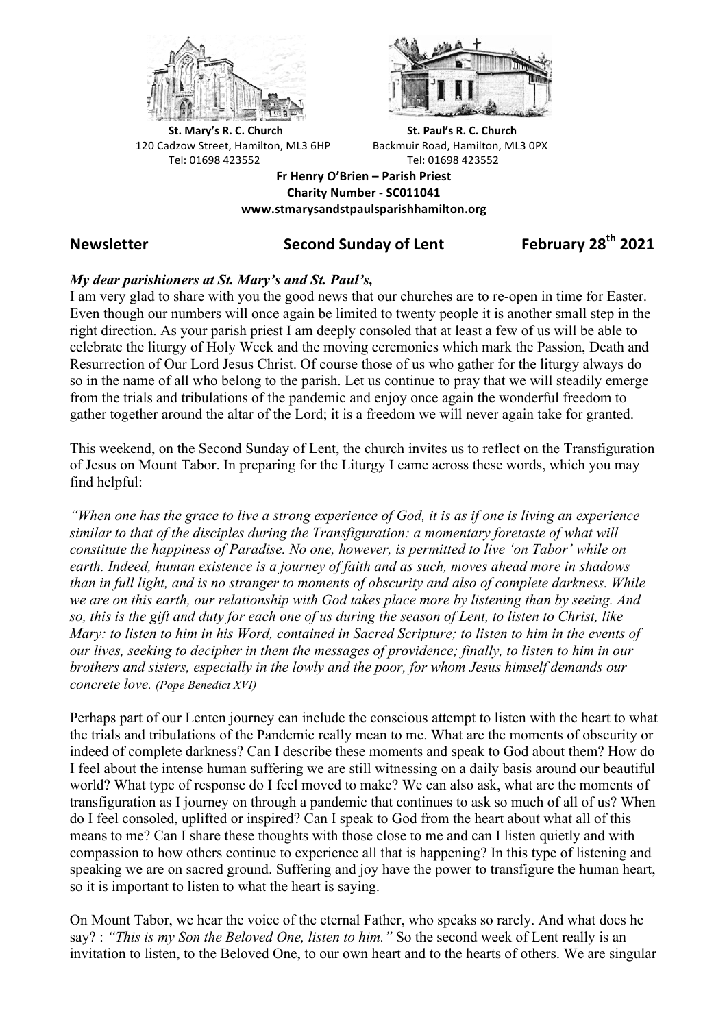



**St.** Mary's R. C. Church St. Paul's R. C. Church 120 Cadzow Street, Hamilton, ML3 6HP Backmuir Road, Hamilton, ML3 0PX Tel: 01698 423552 Tel: 01698 423552

**Fr Henry O'Brien – Parish Priest Charity Number - SC011041 www.stmarysandstpaulsparishhamilton.org**

# *<u>Second Sunday of Lent</u>* **<b>***Cond February 28<sup>th</sup> 2021*

## *My dear parishioners at St. Mary's and St. Paul's,*

I am very glad to share with you the good news that our churches are to re-open in time for Easter. Even though our numbers will once again be limited to twenty people it is another small step in the right direction. As your parish priest I am deeply consoled that at least a few of us will be able to celebrate the liturgy of Holy Week and the moving ceremonies which mark the Passion, Death and Resurrection of Our Lord Jesus Christ. Of course those of us who gather for the liturgy always do so in the name of all who belong to the parish. Let us continue to pray that we will steadily emerge from the trials and tribulations of the pandemic and enjoy once again the wonderful freedom to gather together around the altar of the Lord; it is a freedom we will never again take for granted.

This weekend, on the Second Sunday of Lent, the church invites us to reflect on the Transfiguration of Jesus on Mount Tabor. In preparing for the Liturgy I came across these words, which you may find helpful:

*"When one has the grace to live a strong experience of God, it is as if one is living an experience similar to that of the disciples during the Transfiguration: a momentary foretaste of what will constitute the happiness of Paradise. No one, however, is permitted to live 'on Tabor' while on earth. Indeed, human existence is a journey of faith and as such, moves ahead more in shadows than in full light, and is no stranger to moments of obscurity and also of complete darkness. While we are on this earth, our relationship with God takes place more by listening than by seeing. And so, this is the gift and duty for each one of us during the season of Lent, to listen to Christ, like Mary: to listen to him in his Word, contained in Sacred Scripture; to listen to him in the events of our lives, seeking to decipher in them the messages of providence; finally, to listen to him in our brothers and sisters, especially in the lowly and the poor, for whom Jesus himself demands our concrete love. (Pope Benedict XVI)*

Perhaps part of our Lenten journey can include the conscious attempt to listen with the heart to what the trials and tribulations of the Pandemic really mean to me. What are the moments of obscurity or indeed of complete darkness? Can I describe these moments and speak to God about them? How do I feel about the intense human suffering we are still witnessing on a daily basis around our beautiful world? What type of response do I feel moved to make? We can also ask, what are the moments of transfiguration as I journey on through a pandemic that continues to ask so much of all of us? When do I feel consoled, uplifted or inspired? Can I speak to God from the heart about what all of this means to me? Can I share these thoughts with those close to me and can I listen quietly and with compassion to how others continue to experience all that is happening? In this type of listening and speaking we are on sacred ground. Suffering and joy have the power to transfigure the human heart, so it is important to listen to what the heart is saying.

On Mount Tabor, we hear the voice of the eternal Father, who speaks so rarely. And what does he say? : *"This is my Son the Beloved One, listen to him."* So the second week of Lent really is an invitation to listen, to the Beloved One, to our own heart and to the hearts of others. We are singular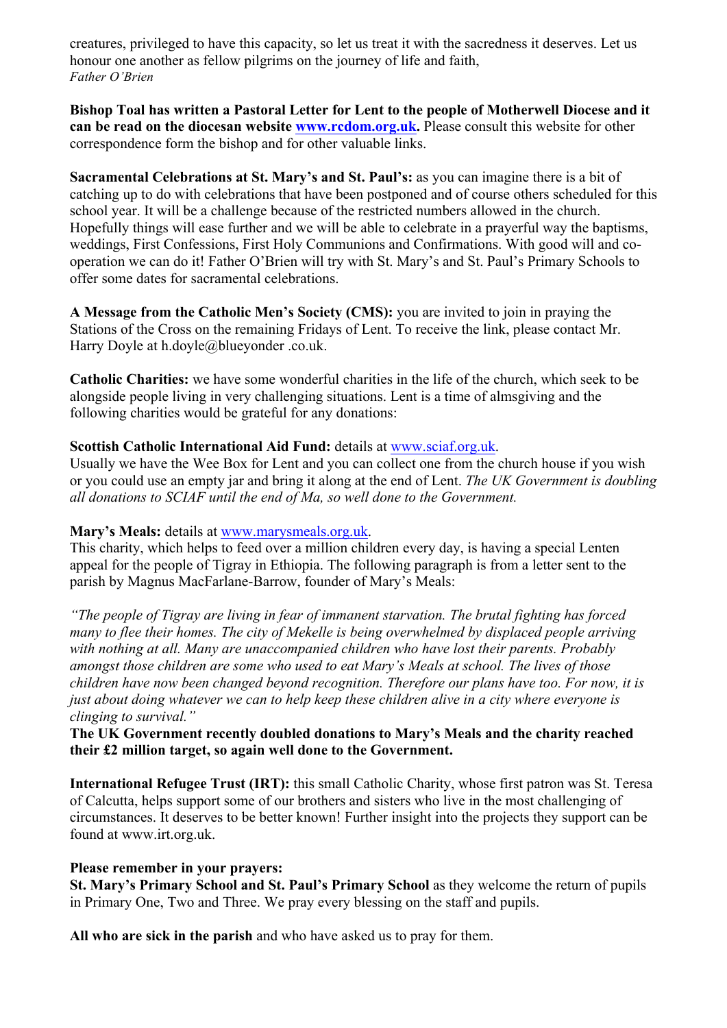creatures, privileged to have this capacity, so let us treat it with the sacredness it deserves. Let us honour one another as fellow pilgrims on the journey of life and faith, *Father O'Brien*

**Bishop Toal has written a Pastoral Letter for Lent to the people of Motherwell Diocese and it can be read on the diocesan website www.rcdom.org.uk.** Please consult this website for other correspondence form the bishop and for other valuable links.

**Sacramental Celebrations at St. Mary's and St. Paul's:** as you can imagine there is a bit of catching up to do with celebrations that have been postponed and of course others scheduled for this school year. It will be a challenge because of the restricted numbers allowed in the church. Hopefully things will ease further and we will be able to celebrate in a prayerful way the baptisms, weddings, First Confessions, First Holy Communions and Confirmations. With good will and cooperation we can do it! Father O'Brien will try with St. Mary's and St. Paul's Primary Schools to offer some dates for sacramental celebrations.

**A Message from the Catholic Men's Society (CMS):** you are invited to join in praying the Stations of the Cross on the remaining Fridays of Lent. To receive the link, please contact Mr. Harry Doyle at h.doyle@blueyonder .co.uk.

**Catholic Charities:** we have some wonderful charities in the life of the church, which seek to be alongside people living in very challenging situations. Lent is a time of almsgiving and the following charities would be grateful for any donations:

### **Scottish Catholic International Aid Fund:** details at www.sciaf.org.uk.

Usually we have the Wee Box for Lent and you can collect one from the church house if you wish or you could use an empty jar and bring it along at the end of Lent. *The UK Government is doubling all donations to SCIAF until the end of Ma, so well done to the Government.*

#### **Mary's Meals:** details at www.marysmeals.org.uk.

This charity, which helps to feed over a million children every day, is having a special Lenten appeal for the people of Tigray in Ethiopia. The following paragraph is from a letter sent to the parish by Magnus MacFarlane-Barrow, founder of Mary's Meals:

*"The people of Tigray are living in fear of immanent starvation. The brutal fighting has forced many to flee their homes. The city of Mekelle is being overwhelmed by displaced people arriving with nothing at all. Many are unaccompanied children who have lost their parents. Probably amongst those children are some who used to eat Mary's Meals at school. The lives of those children have now been changed beyond recognition. Therefore our plans have too. For now, it is just about doing whatever we can to help keep these children alive in a city where everyone is clinging to survival."*

**The UK Government recently doubled donations to Mary's Meals and the charity reached their £2 million target, so again well done to the Government.**

**International Refugee Trust (IRT):** this small Catholic Charity, whose first patron was St. Teresa of Calcutta, helps support some of our brothers and sisters who live in the most challenging of circumstances. It deserves to be better known! Further insight into the projects they support can be found at www.irt.org.uk.

#### **Please remember in your prayers:**

**St. Mary's Primary School and St. Paul's Primary School** as they welcome the return of pupils in Primary One, Two and Three. We pray every blessing on the staff and pupils.

**All who are sick in the parish** and who have asked us to pray for them.